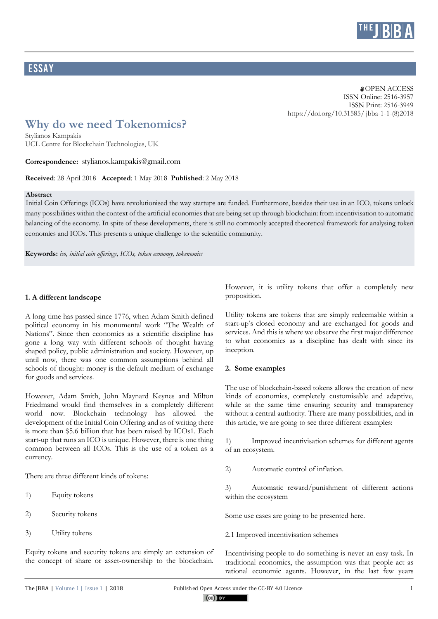

## **ESSAY**

#### **a** OPEN ACCESS ISSN Online: 2516-3957 ISSN Print: 2516-3949 https://doi.org/10.31585/ jbba-1-1-(8)2018

# **Why do we need Tokenomics?**

Stylianos Kampakis UCL Centre for Blockchain Technologies, UK

#### **Correspondence:** stylianos.kampakis@gmail.com

**Received**: 28 April 2018 **Accepted**: 1 May 2018 **Published**: 2 May 2018

#### **Abstract**

Initial Coin Offerings (ICOs) have revolutionised the way startups are funded. Furthermore, besides their use in an ICO, tokens unlock many possibilities within the context of the artificial economies that are being set up through blockchain: from incentivisation to automatic balancing of the economy. In spite of these developments, there is still no commonly accepted theoretical framework for analysing token economies and ICOs. This presents a unique challenge to the scientific community.

**Keywords:** *ico, initial coin offerings, ICOs, token economy, tokenomics*

## **1. A different landscape**

A long time has passed since 1776, when Adam Smith defined political economy in his monumental work "The Wealth of Nations". Since then economics as a scientific discipline has gone a long way with different schools of thought having shaped policy, public administration and society. However, up until now, there was one common assumptions behind all schools of thought: money is the default medium of exchange for goods and services.

However, Adam Smith, John Maynard Keynes and Milton Friedmand would find themselves in a completely different world now. Blockchain technology has allowed the development of the Initial Coin Offering and as of writing there is more than \$5.6 billion that has been raised by ICOs1. Each start-up that runs an ICO is unique. However, there is one thing common between all ICOs. This is the use of a token as a currency.

There are three different kinds of tokens:

- 1) Equity tokens
- 2) Security tokens
- 3) Utility tokens

Equity tokens and security tokens are simply an extension of the concept of share or asset-ownership to the blockchain.

However, it is utility tokens that offer a completely new proposition.

Utility tokens are tokens that are simply redeemable within a start-up's closed economy and are exchanged for goods and services. And this is where we observe the first major difference to what economics as a discipline has dealt with since its inception.

## **2. Some examples**

The use of blockchain-based tokens allows the creation of new kinds of economies, completely customisable and adaptive, while at the same time ensuring security and transparency without a central authority. There are many possibilities, and in this article, we are going to see three different examples:

1) Improved incentivisation schemes for different agents of an ecosystem.

2) Automatic control of inflation.

3) Automatic reward/punishment of different actions within the ecosystem

Some use cases are going to be presented here.

2.1 Improved incentivisation schemes

Incentivising people to do something is never an easy task. In traditional economics, the assumption was that people act as rational economic agents. However, in the last few years